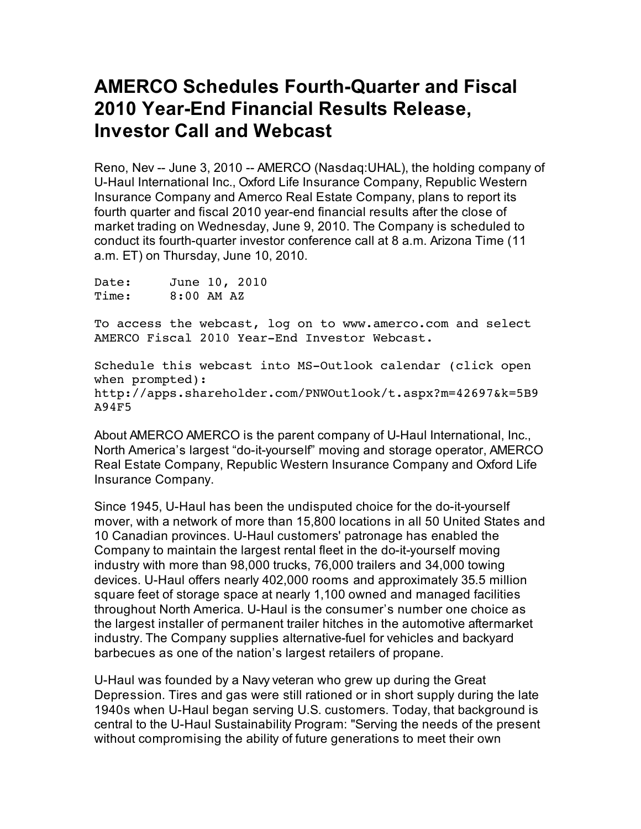## **AMERCO Schedules Fourth-Quarter and Fiscal 2010 Year-End Financial Results Release, Investor Call and Webcast**

Reno, Nev -- June 3, 2010 -- AMERCO (Nasdaq:UHAL), the holding company of U-Haul International Inc., Oxford Life Insurance Company, Republic Western Insurance Company and Amerco Real Estate Company, plans to report its fourth quarter and fiscal 2010 year-end financial results after the close of market trading on Wednesday, June 9, 2010. The Company is scheduled to conduct its fourth-quarter investor conference call at 8 a.m. Arizona Time (11 a.m. ET) on Thursday, June 10, 2010.

Date: June 10, 2010 Time: 8:00 AM AZ

To access the webcast, log on to www.amerco.com and select AMERCO Fiscal 2010 Year-End Investor Webcast.

Schedule this webcast into MS-Outlook calendar (click open when prompted): http://apps.shareholder.com/PNWOutlook/t.aspx?m=42697&k=5B9 A94F5

About AMERCO AMERCO is the parent company of U-Haul International, Inc., North America's largest "do-it-yourself" moving and storage operator, AMERCO Real Estate Company, Republic Western Insurance Company and Oxford Life Insurance Company.

Since 1945, U-Haul has been the undisputed choice for the do-it-yourself mover, with a network of more than 15,800 locations in all 50 United States and 10 Canadian provinces. U-Haul customers' patronage has enabled the Company to maintain the largest rental fleet in the do-it-yourself moving industry with more than 98,000 trucks, 76,000 trailers and 34,000 towing devices. U-Haul offers nearly 402,000 rooms and approximately 35.5 million square feet of storage space at nearly 1,100 owned and managed facilities throughout North America. U-Haul is the consumer's number one choice as the largest installer of permanent trailer hitches in the automotive aftermarket industry. The Company supplies alternative-fuel for vehicles and backyard barbecues as one of the nation's largest retailers of propane.

U-Haul was founded by a Navy veteran who grew up during the Great Depression. Tires and gas were still rationed or in short supply during the late 1940s when U-Haul began serving U.S. customers. Today, that background is central to the U-Haul Sustainability Program: "Serving the needs of the present without compromising the ability of future generations to meet their own